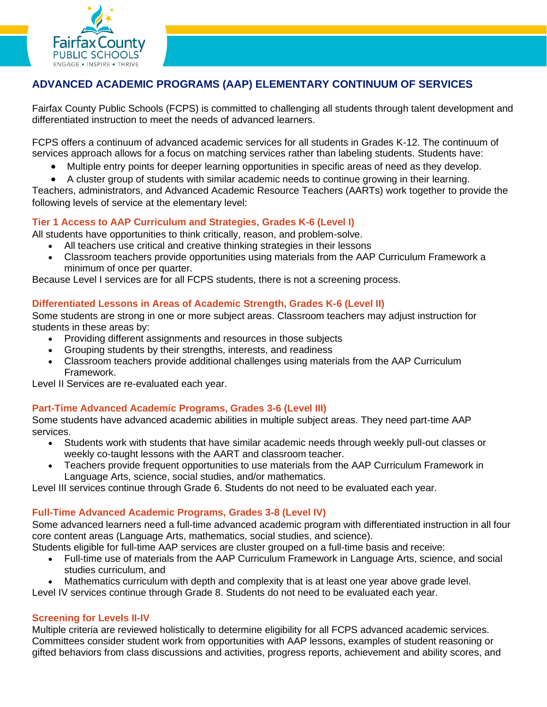

# **ADVANCED ACADEMIC PROGRAMS (AAP) ELEMENTARY CONTINUUM OF SERVICES**

Fairfax County Public Schools (FCPS) is committed to challenging all students through talent development and differentiated instruction to meet the needs of advanced learners.

FCPS offers a continuum of advanced academic services for all students in Grades K-12. The continuum of services approach allows for a focus on matching services rather than labeling students. Students have:

- Multiple entry points for deeper learning opportunities in specific areas of need as they develop.
- A cluster group of students with similar academic needs to continue growing in their learning.

Teachers, administrators, and Advanced Academic Resource Teachers (AARTs) work together to provide the following levels of service at the elementary level:

# **Tier 1 Access to AAP Curriculum and Strategies, Grades K-6 (Level I)**

All students have opportunities to think critically, reason, and problem-solve.

- All teachers use critical and creative thinking strategies in their lessons
- Classroom teachers provide opportunities using materials from the AAP Curriculum Framework a minimum of once per quarter.

Because Level I services are for all FCPS students, there is not a screening process.

# **Differentiated Lessons in Areas of Academic Strength, Grades K-6 (Level II)**

Some students are strong in one or more subject areas. Classroom teachers may adjust instruction for students in these areas by:

- Providing different assignments and resources in those subjects
- Grouping students by their strengths, interests, and readiness
- Classroom teachers provide additional challenges using materials from the AAP Curriculum Framework.

Level II Services are re-evaluated each year.

# **Part-Time Advanced Academic Programs, Grades 3-6 (Level III)**

Some students have advanced academic abilities in multiple subject areas. They need part-time AAP services.

- Students work with students that have similar academic needs through weekly pull-out classes or weekly co-taught lessons with the AART and classroom teacher.
- Teachers provide frequent opportunities to use materials from the AAP Curriculum Framework in Language Arts, science, social studies, and/or mathematics.

Level III services continue through Grade 6. Students do not need to be evaluated each year.

# **Full-Time Advanced Academic Programs, Grades 3-8 (Level IV)**

Some advanced learners need a full-time advanced academic program with differentiated instruction in all four core content areas (Language Arts, mathematics, social studies, and science).

Students eligible for full-time AAP services are cluster grouped on a full-time basis and receive:

- Full-time use of materials from the AAP Curriculum Framework in Language Arts, science, and social studies curriculum, and
- Mathematics curriculum with depth and complexity that is at least one year above grade level.

Level IV services continue through Grade 8. Students do not need to be evaluated each year.

# **Screening for Levels II-IV**

Multiple criteria are reviewed holistically to determine eligibility for all FCPS advanced academic services. Committees consider student work from opportunities with AAP lessons, examples of student reasoning or gifted behaviors from class discussions and activities, progress reports, achievement and ability scores, and